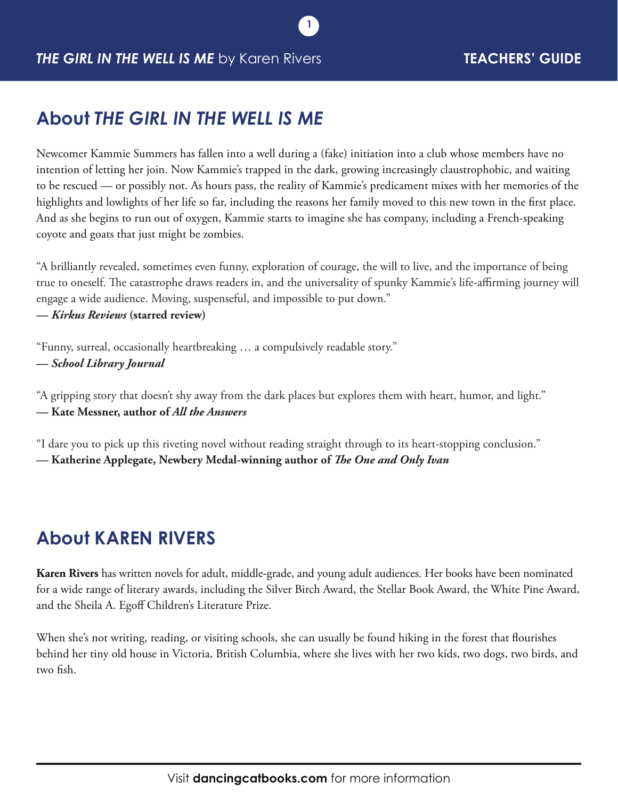# **About** *THE GIRL IN THE WELL IS ME*

Newcomer Kammie Summers has fallen into a well during a (fake) initiation into a club whose members have no intention of letting her join. Now Kammie's trapped in the dark, growing increasingly claustrophobic, and waiting to be rescued — or possibly not. As hours pass, the reality of Kammie's predicament mixes with her memories of the highlights and lowlights of her life so far, including the reasons her family moved to this new town in the first place. And as she begins to run out of oxygen, Kammie starts to imagine she has company, including a French-speaking coyote and goats that just might be zombies.

**1**

"A brilliantly revealed, sometimes even funny, exploration of courage, the will to live, and the importance of being true to oneself. The catastrophe draws readers in, and the universality of spunky Kammie's life-affirming journey will engage a wide audience. Moving, suspenseful, and impossible to put down."

**—** *Kirkus Reviews* **(starred review)**

"Funny, surreal, occasionally heartbreaking … a compulsively readable story." **—** *School Library Journal*

"A gripping story that doesn't shy away from the dark places but explores them with heart, humor, and light." **— Kate Messner, author of** *All the Answers*

"I dare you to pick up this riveting novel without reading straight through to its heart-stopping conclusion." **— Katherine Applegate, Newbery Medal-winning author of** *The One and Only Ivan*

# **About KAREN RIVERS**

**Karen Rivers** has written novels for adult, middle-grade, and young adult audiences. Her books have been nominated for a wide range of literary awards, including the Silver Birch Award, the Stellar Book Award, the White Pine Award, and the Sheila A. Egoff Children's Literature Prize.

When she's not writing, reading, or visiting schools, she can usually be found hiking in the forest that flourishes behind her tiny old house in Victoria, British Columbia, where she lives with her two kids, two dogs, two birds, and two fish.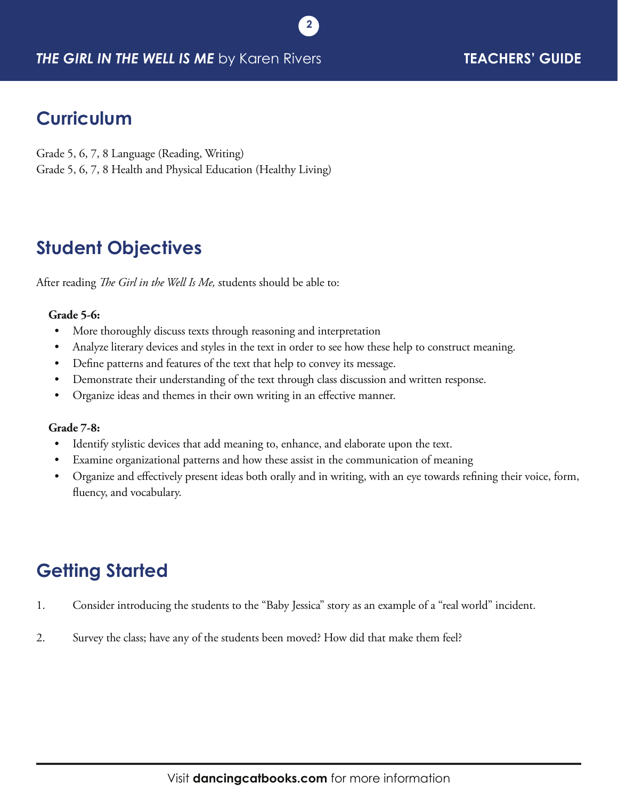#### *THE GIRL IN THE WELL IS ME* by Karen Rivers **TEACHERS' GUIDE**

# **Curriculum**

Grade 5, 6, 7, 8 Language (Reading, Writing) Grade 5, 6, 7, 8 Health and Physical Education (Healthy Living)

# **Student Objectives**

After reading *The Girl in the Well Is Me,* students should be able to:

#### **Grade 5-6:**

- More thoroughly discuss texts through reasoning and interpretation
- Analyze literary devices and styles in the text in order to see how these help to construct meaning.

**2**

- Define patterns and features of the text that help to convey its message.
- Demonstrate their understanding of the text through class discussion and written response.
- Organize ideas and themes in their own writing in an effective manner.

#### **Grade 7-8:**

- Identify stylistic devices that add meaning to, enhance, and elaborate upon the text.
- Examine organizational patterns and how these assist in the communication of meaning
- • Organize and effectively present ideas both orally and in writing, with an eye towards refining their voice, form, fluency, and vocabulary.

# **Getting Started**

- 1. Consider introducing the students to the "Baby Jessica" story as an example of a "real world" incident.
- 2. Survey the class; have any of the students been moved? How did that make them feel?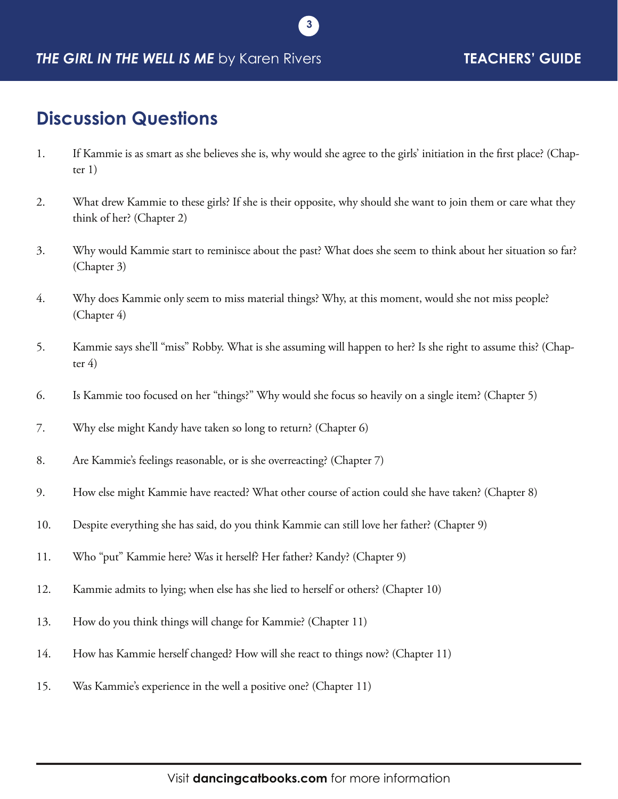#### *THE GIRL IN THE WELL IS ME* by Karen Rivers **TEACHERS' GUIDE**

#### **Discussion Questions**

1. If Kammie is as smart as she believes she is, why would she agree to the girls' initiation in the first place? (Chapter 1)

**3**

- 2. What drew Kammie to these girls? If she is their opposite, why should she want to join them or care what they think of her? (Chapter 2)
- 3. Why would Kammie start to reminisce about the past? What does she seem to think about her situation so far? (Chapter 3)
- 4. Why does Kammie only seem to miss material things? Why, at this moment, would she not miss people? (Chapter 4)
- 5. Kammie says she'll "miss" Robby. What is she assuming will happen to her? Is she right to assume this? (Chapter  $4)$
- 6. Is Kammie too focused on her "things?" Why would she focus so heavily on a single item? (Chapter 5)
- 7. Why else might Kandy have taken so long to return? (Chapter 6)
- 8. Are Kammie's feelings reasonable, or is she overreacting? (Chapter 7)
- 9. How else might Kammie have reacted? What other course of action could she have taken? (Chapter 8)
- 10. Despite everything she has said, do you think Kammie can still love her father? (Chapter 9)
- 11. Who "put" Kammie here? Was it herself? Her father? Kandy? (Chapter 9)
- 12. Kammie admits to lying; when else has she lied to herself or others? (Chapter 10)
- 13. How do you think things will change for Kammie? (Chapter 11)
- 14. How has Kammie herself changed? How will she react to things now? (Chapter 11)
- 15. Was Kammie's experience in the well a positive one? (Chapter 11)